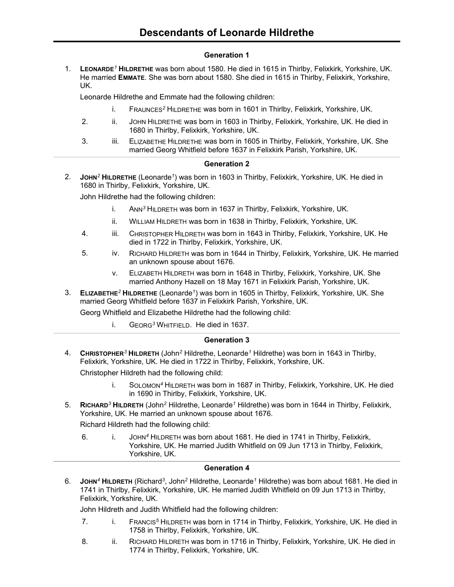# **Generation 1**

1. **LEONARDE***<sup>1</sup>* **HILDRETHE** was born about 1580. He died in 1615 in Thirlby, Felixkirk, Yorkshire, UK. He married **EMMATE**. She was born about 1580. She died in 1615 in Thirlby, Felixkirk, Yorkshire, UK.

Leonarde Hildrethe and Emmate had the following children:

- i. FRAUNCES*<sup>2</sup>* HILDRETHE was born in 1601 in Thirlby, Felixkirk, Yorkshire, UK.
- 2. ii. JOHN HILDRETHE was born in 1603 in Thirlby, Felixkirk, Yorkshire, UK. He died in 1680 in Thirlby, Felixkirk, Yorkshire, UK.
- 3. iii. ELIZABETHE HILDRETHE was born in 1605 in Thirlby, Felixkirk, Yorkshire, UK. She married Georg Whitfield before 1637 in Felixkirk Parish, Yorkshire, UK.

# **Generation 2**

2. **JOHN***<sup>2</sup>* **HILDRETHE** (Leonarde*<sup>1</sup>* ) was born in 1603 in Thirlby, Felixkirk, Yorkshire, UK. He died in 1680 in Thirlby, Felixkirk, Yorkshire, UK.

John Hildrethe had the following children:

- i. ANN*<sup>3</sup>* HILDRETH was born in 1637 in Thirlby, Felixkirk, Yorkshire, UK.
- ii. WILLIAM HILDRETH was born in 1638 in Thirlby, Felixkirk, Yorkshire, UK.
- 4. iii. CHRISTOPHER HILDRETH was born in 1643 in Thirlby, Felixkirk, Yorkshire, UK. He died in 1722 in Thirlby, Felixkirk, Yorkshire, UK.
- 5. iv. RICHARD HILDRETH was born in 1644 in Thirlby, Felixkirk, Yorkshire, UK. He married an unknown spouse about 1676.
	- v. ELIZABETH HILDRETH was born in 1648 in Thirlby, Felixkirk, Yorkshire, UK. She married Anthony Hazell on 18 May 1671 in Felixkirk Parish, Yorkshire, UK.
- 3. **ELIZABETHE***<sup>2</sup>* **HILDRETHE** (Leonarde*<sup>1</sup>* ) was born in 1605 in Thirlby, Felixkirk, Yorkshire, UK. She married Georg Whitfield before 1637 in Felixkirk Parish, Yorkshire, UK.

Georg Whitfield and Elizabethe Hildrethe had the following child:

i. GEORG*<sup>3</sup>* WHITFIELD. He died in 1637.

### **Generation 3**

4. **CHRISTOPHER***<sup>3</sup>* **HILDRETH** (John*<sup>2</sup>* Hildrethe, Leonarde*<sup>1</sup>* Hildrethe) was born in 1643 in Thirlby, Felixkirk, Yorkshire, UK. He died in 1722 in Thirlby, Felixkirk, Yorkshire, UK.

Christopher Hildreth had the following child:

- i. SOLOMON*<sup>4</sup>* HILDRETH was born in 1687 in Thirlby, Felixkirk, Yorkshire, UK. He died in 1690 in Thirlby, Felixkirk, Yorkshire, UK.
- 5. **RICHARD***<sup>3</sup>* **HILDRETH** (John*<sup>2</sup>* Hildrethe, Leonarde*<sup>1</sup>* Hildrethe) was born in 1644 in Thirlby, Felixkirk, Yorkshire, UK. He married an unknown spouse about 1676.

Richard Hildreth had the following child:

6. i. JOHN*<sup>4</sup>* HILDRETH was born about 1681. He died in 1741 in Thirlby, Felixkirk, Yorkshire, UK. He married Judith Whitfield on 09 Jun 1713 in Thirlby, Felixkirk, Yorkshire, UK.

# **Generation 4**

6. **JOHN***<sup>4</sup>* **HILDRETH** (Richard*<sup>3</sup>* , John*<sup>2</sup>* Hildrethe, Leonarde*<sup>1</sup>* Hildrethe) was born about 1681. He died in 1741 in Thirlby, Felixkirk, Yorkshire, UK. He married Judith Whitfield on 09 Jun 1713 in Thirlby, Felixkirk, Yorkshire, UK.

John Hildreth and Judith Whitfield had the following children:

- 7. i. FRANCIS*<sup>5</sup>* HILDRETH was born in 1714 in Thirlby, Felixkirk, Yorkshire, UK. He died in 1758 in Thirlby, Felixkirk, Yorkshire, UK.
- 8. ii. RICHARD HILDRETH was born in 1716 in Thirlby, Felixkirk, Yorkshire, UK. He died in 1774 in Thirlby, Felixkirk, Yorkshire, UK.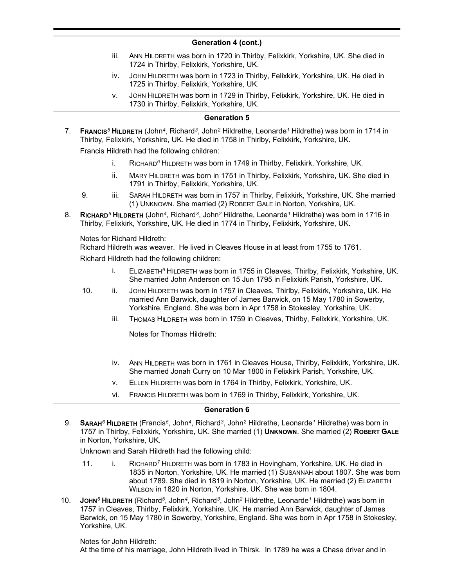- iii. ANN HILDRETH was born in 1720 in Thirlby, Felixkirk, Yorkshire, UK. She died in 1724 in Thirlby, Felixkirk, Yorkshire, UK.
- iv. JOHN HILDRETH was born in 1723 in Thirlby, Felixkirk, Yorkshire, UK. He died in 1725 in Thirlby, Felixkirk, Yorkshire, UK.
- v. JOHN HILDRETH was born in 1729 in Thirlby, Felixkirk, Yorkshire, UK. He died in 1730 in Thirlby, Felixkirk, Yorkshire, UK.

#### **Generation 5**

7. **FRANCIS***<sup>5</sup>* **HILDRETH** (John*<sup>4</sup>* , Richard*<sup>3</sup>* , John*<sup>2</sup>* Hildrethe, Leonarde*<sup>1</sup>* Hildrethe) was born in 1714 in Thirlby, Felixkirk, Yorkshire, UK. He died in 1758 in Thirlby, Felixkirk, Yorkshire, UK.

Francis Hildreth had the following children:

- i. RICHARD*<sup>6</sup>* HILDRETH was born in 1749 in Thirlby, Felixkirk, Yorkshire, UK.
- ii. MARY HILDRETH was born in 1751 in Thirlby, Felixkirk, Yorkshire, UK. She died in 1791 in Thirlby, Felixkirk, Yorkshire, UK.
- 9. iii. SARAH HILDRETH was born in 1757 in Thirlby, Felixkirk, Yorkshire, UK. She married (1) UNKNOWN. She married (2) ROBERT GALE in Norton, Yorkshire, UK.
- 8. **RICHARD***<sup>5</sup>* **HILDRETH** (John*<sup>4</sup>* , Richard*<sup>3</sup>* , John*<sup>2</sup>* Hildrethe, Leonarde*<sup>1</sup>* Hildrethe) was born in 1716 in Thirlby, Felixkirk, Yorkshire, UK. He died in 1774 in Thirlby, Felixkirk, Yorkshire, UK.

Notes for Richard Hildreth:

Richard Hildreth was weaver. He lived in Cleaves House in at least from 1755 to 1761.

Richard Hildreth had the following children:

- i. ELIZABETH*<sup>6</sup>* HILDRETH was born in 1755 in Cleaves, Thirlby, Felixkirk, Yorkshire, UK. She married John Anderson on 15 Jun 1795 in Felixkirk Parish, Yorkshire, UK.
- 10. ii. JOHN HILDRETH was born in 1757 in Cleaves, Thirlby, Felixkirk, Yorkshire, UK. He married Ann Barwick, daughter of James Barwick, on 15 May 1780 in Sowerby, Yorkshire, England. She was born in Apr 1758 in Stokesley, Yorkshire, UK.
	- iii. THOMAS HILDRETH was born in 1759 in Cleaves, Thirlby, Felixkirk, Yorkshire, UK.

Notes for Thomas Hildreth:

- iv. ANN HILDRETH was born in 1761 in Cleaves House, Thirlby, Felixkirk, Yorkshire, UK. She married Jonah Curry on 10 Mar 1800 in Felixkirk Parish, Yorkshire, UK.
- v. ELLEN HILDRETH was born in 1764 in Thirlby, Felixkirk, Yorkshire, UK.
- vi. FRANCIS HILDRETH was born in 1769 in Thirlby, Felixkirk, Yorkshire, UK.

### **Generation 6**

9. **SARAH***<sup>6</sup>* **HILDRETH** (Francis*<sup>5</sup>* , John*<sup>4</sup>* , Richard*<sup>3</sup>* , John*<sup>2</sup>* Hildrethe, Leonarde*<sup>1</sup>* Hildrethe) was born in 1757 in Thirlby, Felixkirk, Yorkshire, UK. She married (1) **UNKNOWN**. She married (2) **ROBERT GALE** in Norton, Yorkshire, UK.

Unknown and Sarah Hildreth had the following child:

- 11. i. RICHARD*<sup>7</sup>* HILDRETH was born in 1783 in Hovingham, Yorkshire, UK. He died in 1835 in Norton, Yorkshire, UK. He married (1) SUSANNAH about 1807. She was born about 1789. She died in 1819 in Norton, Yorkshire, UK. He married (2) ELIZABETH WILSON in 1820 in Norton, Yorkshire, UK. She was born in 1804.
- 10. **JOHN***<sup>6</sup>* **HILDRETH** (Richard*<sup>5</sup>* , John*<sup>4</sup>* , Richard*<sup>3</sup>* , John*<sup>2</sup>* Hildrethe, Leonarde*<sup>1</sup>* Hildrethe) was born in 1757 in Cleaves, Thirlby, Felixkirk, Yorkshire, UK. He married Ann Barwick, daughter of James Barwick, on 15 May 1780 in Sowerby, Yorkshire, England. She was born in Apr 1758 in Stokesley, Yorkshire, UK.

Notes for John Hildreth:

At the time of his marriage, John Hildreth lived in Thirsk. In 1789 he was a Chase driver and in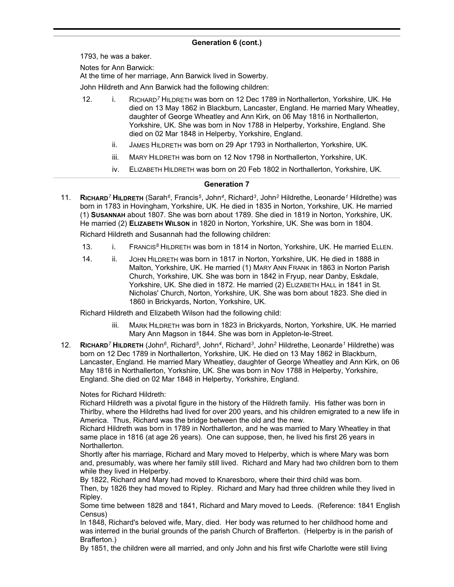1793, he was a baker.

Notes for Ann Barwick:

At the time of her marriage, Ann Barwick lived in Sowerby.

John Hildreth and Ann Barwick had the following children:

- 12. i. RICHARD*<sup>7</sup>* HILDRETH was born on 12 Dec 1789 in Northallerton, Yorkshire, UK. He died on 13 May 1862 in Blackburn, Lancaster, England. He married Mary Wheatley, daughter of George Wheatley and Ann Kirk, on 06 May 1816 in Northallerton, Yorkshire, UK. She was born in Nov 1788 in Helperby, Yorkshire, England. She died on 02 Mar 1848 in Helperby, Yorkshire, England.
	- ii. JAMES HILDRETH was born on 29 Apr 1793 in Northallerton, Yorkshire, UK.
	- iii. MARY HILDRETH was born on 12 Nov 1798 in Northallerton, Yorkshire, UK.
	- iv. ELIZABETH HILDRETH was born on 20 Feb 1802 in Northallerton, Yorkshire, UK.

### **Generation 7**

11. **RICHARD***<sup>7</sup>* **HILDRETH** (Sarah*<sup>6</sup>* , Francis*<sup>5</sup>* , John*<sup>4</sup>* , Richard*<sup>3</sup>* , John*<sup>2</sup>* Hildrethe, Leonarde*<sup>1</sup>* Hildrethe) was born in 1783 in Hovingham, Yorkshire, UK. He died in 1835 in Norton, Yorkshire, UK. He married (1) **SUSANNAH** about 1807. She was born about 1789. She died in 1819 in Norton, Yorkshire, UK. He married (2) **ELIZABETH WILSON** in 1820 in Norton, Yorkshire, UK. She was born in 1804.

Richard Hildreth and Susannah had the following children:

- 13. i. FRANCIS<sup>8</sup> HILDRETH was born in 1814 in Norton, Yorkshire, UK. He married ELLEN.
- 14. ii. JOHN HILDRETH was born in 1817 in Norton, Yorkshire, UK. He died in 1888 in Malton, Yorkshire, UK. He married (1) MARY ANN FRANK in 1863 in Norton Parish Church, Yorkshire, UK. She was born in 1842 in Fryup, near Danby, Eskdale, Yorkshire, UK. She died in 1872. He married (2) ELIZABETH HALL in 1841 in St. Nicholas' Church, Norton, Yorkshire, UK. She was born about 1823. She died in 1860 in Brickyards, Norton, Yorkshire, UK.

Richard Hildreth and Elizabeth Wilson had the following child:

- iii. MARK HILDRETH was born in 1823 in Brickyards, Norton, Yorkshire, UK. He married Mary Ann Magson in 1844. She was born in Appleton-le-Street.
- 12. **RICHARD***<sup>7</sup>* **HILDRETH** (John*<sup>6</sup>* , Richard*<sup>5</sup>* , John*<sup>4</sup>* , Richard*<sup>3</sup>* , John*<sup>2</sup>* Hildrethe, Leonarde*<sup>1</sup>* Hildrethe) was born on 12 Dec 1789 in Northallerton, Yorkshire, UK. He died on 13 May 1862 in Blackburn, Lancaster, England. He married Mary Wheatley, daughter of George Wheatley and Ann Kirk, on 06 May 1816 in Northallerton, Yorkshire, UK. She was born in Nov 1788 in Helperby, Yorkshire, England. She died on 02 Mar 1848 in Helperby, Yorkshire, England.

### Notes for Richard Hildreth:

Richard Hildreth was a pivotal figure in the history of the Hildreth family. His father was born in Thirlby, where the Hildreths had lived for over 200 years, and his children emigrated to a new life in America. Thus, Richard was the bridge between the old and the new.

Richard Hildreth was born in 1789 in Northallerton, and he was married to Mary Wheatley in that same place in 1816 (at age 26 years). One can suppose, then, he lived his first 26 years in Northallerton.

Shortly after his marriage, Richard and Mary moved to Helperby, which is where Mary was born and, presumably, was where her family still lived. Richard and Mary had two children born to them while they lived in Helperby.

By 1822, Richard and Mary had moved to Knaresboro, where their third child was born. Then, by 1826 they had moved to Ripley. Richard and Mary had three children while they lived in Ripley.

Some time between 1828 and 1841, Richard and Mary moved to Leeds. (Reference: 1841 English Census)

In 1848, Richard's beloved wife, Mary, died. Her body was returned to her childhood home and was interred in the burial grounds of the parish Church of Brafferton. (Helperby is in the parish of Brafferton.)

By 1851, the children were all married, and only John and his first wife Charlotte were still living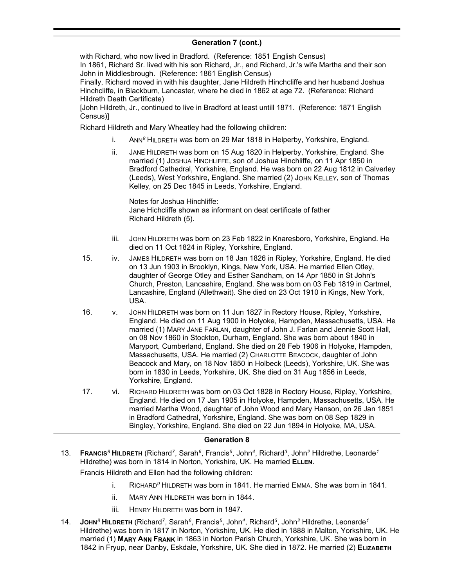with Richard, who now lived in Bradford. (Reference: 1851 English Census) In 1861, Richard Sr. lived with his son Richard, Jr., and Richard, Jr.'s wife Martha and their son John in Middlesbrough. (Reference: 1861 English Census)

Finally, Richard moved in with his daughter, Jane Hildreth Hinchcliffe and her husband Joshua Hinchcliffe, in Blackburn, Lancaster, where he died in 1862 at age 72. (Reference: Richard Hildreth Death Certificate)

[John Hildreth, Jr., continued to live in Bradford at least untill 1871. (Reference: 1871 English Census)]

Richard Hildreth and Mary Wheatley had the following children:

- i. ANN*<sup>8</sup>* HILDRETH was born on 29 Mar 1818 in Helperby, Yorkshire, England.
- ii. JANE HILDRETH was born on 15 Aug 1820 in Helperby, Yorkshire, England. She married (1) JOSHUA HINCHLIFFE, son of Joshua Hinchliffe, on 11 Apr 1850 in Bradford Cathedral, Yorkshire, England. He was born on 22 Aug 1812 in Calverley (Leeds), West Yorkshire, England. She married (2) JOHN KELLEY, son of Thomas Kelley, on 25 Dec 1845 in Leeds, Yorkshire, England.

Notes for Joshua Hinchliffe: Jane Hichcliffe shown as informant on deat certificate of father Richard Hildreth (5).

- iii. JOHN HILDRETH was born on 23 Feb 1822 in Knaresboro, Yorkshire, England. He died on 11 Oct 1824 in Ripley, Yorkshire, England.
- 15. iv. JAMES HILDRETH was born on 18 Jan 1826 in Ripley, Yorkshire, England. He died on 13 Jun 1903 in Brooklyn, Kings, New York, USA. He married Ellen Otley, daughter of George Otley and Esther Sandham, on 14 Apr 1850 in St John's Church, Preston, Lancashire, England. She was born on 03 Feb 1819 in Cartmel, Lancashire, England (Allethwait). She died on 23 Oct 1910 in Kings, New York, USA.
- 16. v. JOHN HILDRETH was born on 11 Jun 1827 in Rectory House, Ripley, Yorkshire, England. He died on 11 Aug 1900 in Holyoke, Hampden, Massachusetts, USA. He married (1) MARY JANE FARLAN, daughter of John J. Farlan and Jennie Scott Hall, on 08 Nov 1860 in Stockton, Durham, England. She was born about 1840 in Maryport, Cumberland, England. She died on 28 Feb 1906 in Holyoke, Hampden, Massachusetts, USA. He married (2) CHARLOTTE BEACOCK, daughter of John Beacock and Mary, on 18 Nov 1850 in Holbeck (Leeds), Yorkshire, UK. She was born in 1830 in Leeds, Yorkshire, UK. She died on 31 Aug 1856 in Leeds, Yorkshire, England.
- 17. vi. RICHARD HILDRETH was born on 03 Oct 1828 in Rectory House, Ripley, Yorkshire, England. He died on 17 Jan 1905 in Holyoke, Hampden, Massachusetts, USA. He married Martha Wood, daughter of John Wood and Mary Hanson, on 26 Jan 1851 in Bradford Cathedral, Yorkshire, England. She was born on 08 Sep 1829 in Bingley, Yorkshire, England. She died on 22 Jun 1894 in Holyoke, MA, USA.

### **Generation 8**

13. **FRANCIS***<sup>8</sup>* **HILDRETH** (Richard*<sup>7</sup>* , Sarah*<sup>6</sup>* , Francis*<sup>5</sup>* , John*<sup>4</sup>* , Richard*<sup>3</sup>* , John*<sup>2</sup>* Hildrethe, Leonarde*<sup>1</sup>* Hildrethe) was born in 1814 in Norton, Yorkshire, UK. He married **ELLEN**.

Francis Hildreth and Ellen had the following children:

- i. RICHARD*<sup>9</sup>* HILDRETH was born in 1841. He married EMMA. She was born in 1841.
- ii. MARY ANN HILDRETH was born in 1844.
- iii. HENRY HILDRETH was born in 1847.
- 14. **JOHN***<sup>8</sup>* **HILDRETH** (Richard*<sup>7</sup>* , Sarah*<sup>6</sup>* , Francis*<sup>5</sup>* , John*<sup>4</sup>* , Richard*<sup>3</sup>* , John*<sup>2</sup>* Hildrethe, Leonarde*<sup>1</sup>* Hildrethe) was born in 1817 in Norton, Yorkshire, UK. He died in 1888 in Malton, Yorkshire, UK. He married (1) **MARY ANN FRANK** in 1863 in Norton Parish Church, Yorkshire, UK. She was born in 1842 in Fryup, near Danby, Eskdale, Yorkshire, UK. She died in 1872. He married (2) **ELIZABETH**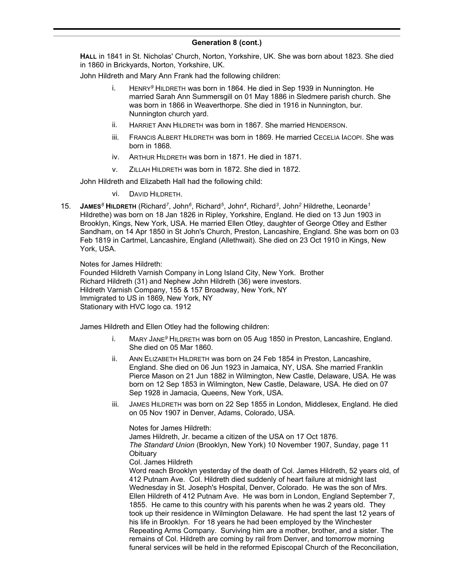**HALL** in 1841 in St. Nicholas' Church, Norton, Yorkshire, UK. She was born about 1823. She died in 1860 in Brickyards, Norton, Yorkshire, UK.

John Hildreth and Mary Ann Frank had the following children:

- i. HENRY*<sup>9</sup>* HILDRETH was born in 1864. He died in Sep 1939 in Nunnington. He married Sarah Ann Summersgill on 01 May 1886 in Sledmere parish church. She was born in 1866 in Weaverthorpe. She died in 1916 in Nunnington, bur. Nunnington church yard.
- ii. HARRIET ANN HILDRETH was born in 1867. She married HENDERSON.
- iii. FRANCIS ALBERT HILDRETH was born in 1869. He married CECELIA IACOPI. She was born in 1868.
- iv. ARTHUR HILDRETH was born in 1871. He died in 1871.
- v. ZILLAH HILDRETH was born in 1872. She died in 1872.

John Hildreth and Elizabeth Hall had the following child:

vi. DAVID HILDRETH.

15. **JAMES***<sup>8</sup>* **HILDRETH** (Richard*<sup>7</sup>* , John*<sup>6</sup>* , Richard*<sup>5</sup>* , John*<sup>4</sup>* , Richard*<sup>3</sup>* , John*<sup>2</sup>* Hildrethe, Leonarde*<sup>1</sup>* Hildrethe) was born on 18 Jan 1826 in Ripley, Yorkshire, England. He died on 13 Jun 1903 in Brooklyn, Kings, New York, USA. He married Ellen Otley, daughter of George Otley and Esther Sandham, on 14 Apr 1850 in St John's Church, Preston, Lancashire, England. She was born on 03 Feb 1819 in Cartmel, Lancashire, England (Allethwait). She died on 23 Oct 1910 in Kings, New York, USA.

Notes for James Hildreth:

Founded Hildreth Varnish Company in Long Island City, New York. Brother Richard Hildreth (31) and Nephew John Hildreth (36) were investors. Hildreth Varnish Company, 155 & 157 Broadway, New York, NY Immigrated to US in 1869, New York, NY Stationary with HVC logo ca. 1912

James Hildreth and Ellen Otley had the following children:

- i. MARY JANE*<sup>9</sup>* HILDRETH was born on 05 Aug 1850 in Preston, Lancashire, England. She died on 05 Mar 1860.
- ii. ANN ELIZABETH HILDRETH was born on 24 Feb 1854 in Preston, Lancashire, England. She died on 06 Jun 1923 in Jamaica, NY, USA. She married Franklin Pierce Mason on 21 Jun 1882 in Wilmington, New Castle, Delaware, USA. He was born on 12 Sep 1853 in Wilmington, New Castle, Delaware, USA. He died on 07 Sep 1928 in Jamacia, Queens, New York, USA.
- iii. JAMES HILDRETH was born on 22 Sep 1855 in London, Middlesex, England. He died on 05 Nov 1907 in Denver, Adams, Colorado, USA.

Notes for James Hildreth: James Hildreth, Jr. became a citizen of the USA on 17 Oct 1876. *The Standard Union* (Brooklyn, New York) 10 November 1907, Sunday, page 11 **Obituary** Col. James Hildreth

Word reach Brooklyn yesterday of the death of Col. James Hildreth, 52 years old, of 412 Putnam Ave. Col. Hildreth died suddenly of heart failure at midnight last Wednesday in St. Joseph's Hospital, Denver, Colorado. He was the son of Mrs. Ellen Hildreth of 412 Putnam Ave. He was born in London, England September 7, 1855. He came to this country with his parents when he was 2 years old. They took up their residence in Wilmington Delaware. He had spent the last 12 years of his life in Brooklyn. For 18 years he had been employed by the Winchester Repeating Arms Company. Surviving him are a mother, brother, and a sister. The remains of Col. Hildreth are coming by rail from Denver, and tomorrow morning funeral services will be held in the reformed Episcopal Church of the Reconciliation,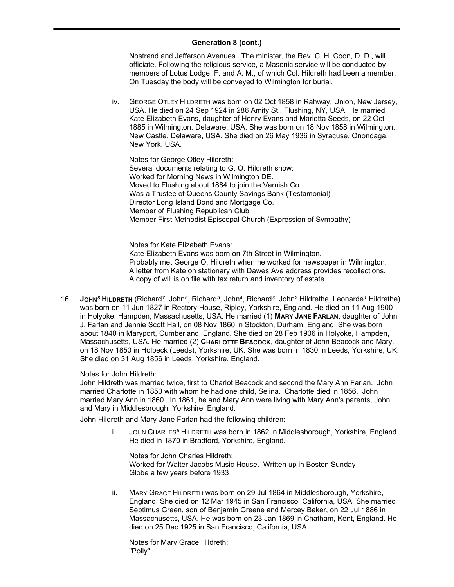Nostrand and Jefferson Avenues. The minister, the Rev. C. H. Coon, D. D., will officiate. Following the religious service, a Masonic service will be conducted by members of Lotus Lodge, F. and A. M., of which Col. Hildreth had been a member. On Tuesday the body will be conveyed to Wilmington for burial.

iv. GEORGE OTLEY HILDRETH was born on 02 Oct 1858 in Rahway, Union, New Jersey, USA. He died on 24 Sep 1924 in 286 Amity St., Flushing, NY, USA. He married Kate Elizabeth Evans, daughter of Henry Evans and Marietta Seeds, on 22 Oct 1885 in Wilmington, Delaware, USA. She was born on 18 Nov 1858 in Wilmington, New Castle, Delaware, USA. She died on 26 May 1936 in Syracuse, Onondaga, New York, USA.

Notes for George Otley Hildreth: Several documents relating to G. O. Hildreth show: Worked for Morning News in Wilmington DE. Moved to Flushing about 1884 to join the Varnish Co. Was a Trustee of Queens County Savings Bank (Testamonial) Director Long Island Bond and Mortgage Co. Member of Flushing Republican Club Member First Methodist Episcopal Church (Expression of Sympathy)

Notes for Kate Elizabeth Evans: Kate Elizabeth Evans was born on 7th Street in Wilmington. Probably met George O. Hildreth when he worked for newspaper in Wilmington. A letter from Kate on stationary with Dawes Ave address provides recollections. A copy of will is on file with tax return and inventory of estate.

16. **JOHN***<sup>8</sup>* **HILDRETH** (Richard*<sup>7</sup>* , John*<sup>6</sup>* , Richard*<sup>5</sup>* , John*<sup>4</sup>* , Richard*<sup>3</sup>* , John*<sup>2</sup>* Hildrethe, Leonarde*<sup>1</sup>* Hildrethe) was born on 11 Jun 1827 in Rectory House, Ripley, Yorkshire, England. He died on 11 Aug 1900 in Holyoke, Hampden, Massachusetts, USA. He married (1) **MARY JANE FARLAN**, daughter of John J. Farlan and Jennie Scott Hall, on 08 Nov 1860 in Stockton, Durham, England. She was born about 1840 in Maryport, Cumberland, England. She died on 28 Feb 1906 in Holyoke, Hampden, Massachusetts, USA. He married (2) **CHARLOTTE BEACOCK**, daughter of John Beacock and Mary, on 18 Nov 1850 in Holbeck (Leeds), Yorkshire, UK. She was born in 1830 in Leeds, Yorkshire, UK. She died on 31 Aug 1856 in Leeds, Yorkshire, England.

### Notes for John Hildreth:

John Hildreth was married twice, first to Charlot Beacock and second the Mary Ann Farlan. John married Charlotte in 1850 with whom he had one child, Selina. Charlotte died in 1856. John married Mary Ann in 1860. In 1861, he and Mary Ann were living with Mary Ann's parents, John and Mary in Middlesbrough, Yorkshire, England.

John Hildreth and Mary Jane Farlan had the following children:

i. JOHN CHARLES*<sup>9</sup>* HILDRETH was born in 1862 in Middlesborough, Yorkshire, England. He died in 1870 in Bradford, Yorkshire, England.

Notes for John Charles Hildreth: Worked for Walter Jacobs Music House. Written up in Boston Sunday Globe a few years before 1933

ii. MARY GRACE HILDRETH was born on 29 Jul 1864 in Middlesborough, Yorkshire, England. She died on 12 Mar 1945 in San Francisco, California, USA. She married Septimus Green, son of Benjamin Greene and Mercey Baker, on 22 Jul 1886 in Massachusetts, USA. He was born on 23 Jan 1869 in Chatham, Kent, England. He died on 25 Dec 1925 in San Francisco, California, USA.

Notes for Mary Grace Hildreth: "Polly".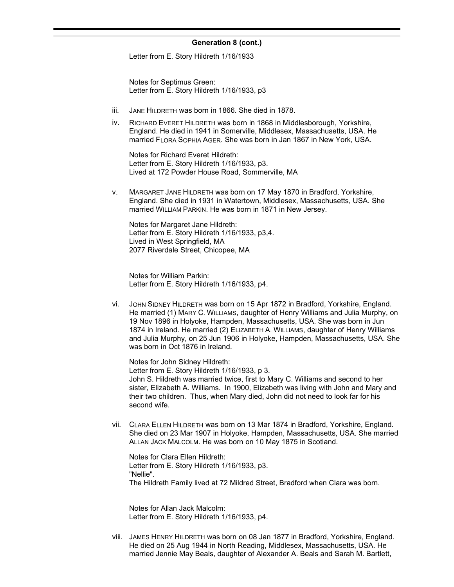Letter from E. Story Hildreth 1/16/1933

Notes for Septimus Green: Letter from E. Story Hildreth 1/16/1933, p3

- iii. JANE HILDRETH was born in 1866. She died in 1878.
- iv. RICHARD EVERET HILDRETH was born in 1868 in Middlesborough, Yorkshire, England. He died in 1941 in Somerville, Middlesex, Massachusetts, USA. He married FLORA SOPHIA AGER. She was born in Jan 1867 in New York, USA.

Notes for Richard Everet Hildreth: Letter from E. Story Hildreth 1/16/1933, p3. Lived at 172 Powder House Road, Sommerville, MA

v. MARGARET JANE HILDRETH was born on 17 May 1870 in Bradford, Yorkshire, England. She died in 1931 in Watertown, Middlesex, Massachusetts, USA. She married WILLIAM PARKIN. He was born in 1871 in New Jersey.

Notes for Margaret Jane Hildreth: Letter from E. Story Hildreth 1/16/1933, p3,4. Lived in West Springfield, MA 2077 Riverdale Street, Chicopee, MA

Notes for William Parkin: Letter from E. Story Hildreth 1/16/1933, p4.

vi. JOHN SIDNEY HILDRETH was born on 15 Apr 1872 in Bradford, Yorkshire, England. He married (1) MARY C. WILLIAMS, daughter of Henry Williams and Julia Murphy, on 19 Nov 1896 in Holyoke, Hampden, Massachusetts, USA. She was born in Jun 1874 in Ireland. He married (2) ELIZABETH A. WILLIAMS, daughter of Henry Williams and Julia Murphy, on 25 Jun 1906 in Holyoke, Hampden, Massachusetts, USA. She was born in Oct 1876 in Ireland.

Notes for John Sidney Hildreth: Letter from E. Story Hildreth 1/16/1933, p 3. John S. Hildreth was married twice, first to Mary C. Williams and second to her sister, Elizabeth A. Williams. In 1900, Elizabeth was living with John and Mary and their two children. Thus, when Mary died, John did not need to look far for his second wife.

vii. CLARA ELLEN HILDRETH was born on 13 Mar 1874 in Bradford, Yorkshire, England. She died on 23 Mar 1907 in Holyoke, Hampden, Massachusetts, USA. She married ALLAN JACK MALCOLM. He was born on 10 May 1875 in Scotland.

Notes for Clara Ellen Hildreth: Letter from E. Story Hildreth 1/16/1933, p3. "Nellie". The Hildreth Family lived at 72 Mildred Street, Bradford when Clara was born.

Notes for Allan Jack Malcolm: Letter from E. Story Hildreth 1/16/1933, p4.

viii. JAMES HENRY HILDRETH was born on 08 Jan 1877 in Bradford, Yorkshire, England. He died on 25 Aug 1944 in North Reading, Middlesex, Massachusetts, USA. He married Jennie May Beals, daughter of Alexander A. Beals and Sarah M. Bartlett,